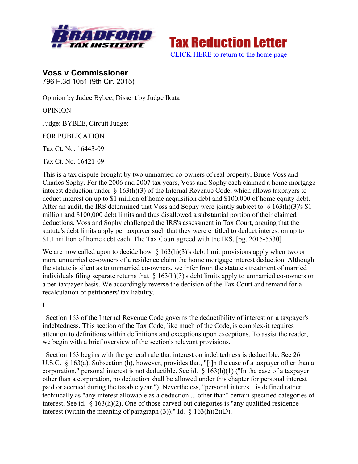



**Voss v Commissioner** 796 F.3d 1051 (9th Cir. 2015)

Opinion by Judge Bybee; Dissent by Judge Ikuta

**OPINION** 

Judge: BYBEE, Circuit Judge:

FOR PUBLICATION

Tax Ct. No. 16443-09

Tax Ct. No. 16421-09

This is a tax dispute brought by two unmarried co-owners of real property, Bruce Voss and Charles Sophy. For the 2006 and 2007 tax years, Voss and Sophy each claimed a home mortgage interest deduction under  $\S$  163(h)(3) of the Internal Revenue Code, which allows taxpayers to deduct interest on up to \$1 million of home acquisition debt and \$100,000 of home equity debt. After an audit, the IRS determined that Voss and Sophy were jointly subject to  $\S 163(h)(3)$ 's \$1 million and \$100,000 debt limits and thus disallowed a substantial portion of their claimed deductions. Voss and Sophy challenged the IRS's assessment in Tax Court, arguing that the statute's debt limits apply per taxpayer such that they were entitled to deduct interest on up to \$1.1 million of home debt each. The Tax Court agreed with the IRS. [pg. 2015-5530]

We are now called upon to decide how  $\S$  163(h)(3)'s debt limit provisions apply when two or more unmarried co-owners of a residence claim the home mortgage interest deduction. Although the statute is silent as to unmarried co-owners, we infer from the statute's treatment of married individuals filing separate returns that  $\S$  163(h)(3)'s debt limits apply to unmarried co-owners on a per-taxpayer basis. We accordingly reverse the decision of the Tax Court and remand for a recalculation of petitioners' tax liability.

I

 Section 163 of the Internal Revenue Code governs the deductibility of interest on a taxpayer's indebtedness. This section of the Tax Code, like much of the Code, is complex-it requires attention to definitions within definitions and exceptions upon exceptions. To assist the reader, we begin with a brief overview of the section's relevant provisions.

 Section 163 begins with the general rule that interest on indebtedness is deductible. See 26 U.S.C. § 163(a). Subsection (h), however, provides that, "[i]n the case of a taxpayer other than a corporation," personal interest is not deductible. See id. § 163(h)(1) ("In the case of a taxpayer other than a corporation, no deduction shall be allowed under this chapter for personal interest paid or accrued during the taxable year."). Nevertheless, "personal interest" is defined rather technically as "any interest allowable as a deduction ... other than" certain specified categories of interest. See id. § 163(h)(2). One of those carved-out categories is "any qualified residence interest (within the meaning of paragraph (3))." Id.  $\S$  163(h)(2)(D).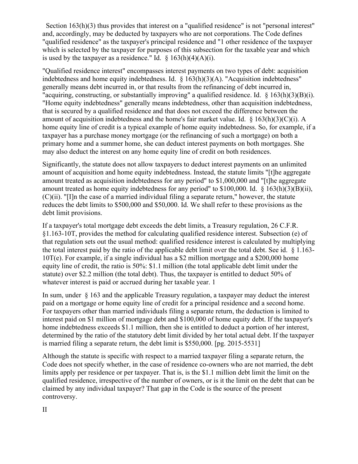Section 163(h)(3) thus provides that interest on a "qualified residence" is not "personal interest" and, accordingly, may be deducted by taxpayers who are not corporations. The Code defines "qualified residence" as the taxpayer's principal residence and "1 other residence of the taxpayer which is selected by the taxpayer for purposes of this subsection for the taxable year and which is used by the taxpayer as a residence." Id.  $\S$  163(h)(4)(A)(i).

"Qualified residence interest" encompasses interest payments on two types of debt: acquisition indebtedness and home equity indebtedness. Id. § 163(h)(3)(A). "Acquisition indebtedness" generally means debt incurred in, or that results from the refinancing of debt incurred in, "acquiring, constructing, or substantially improving" a qualified residence. Id. § 163(h)(3)(B)(i). "Home equity indebtedness" generally means indebtedness, other than acquisition indebtedness, that is secured by a qualified residence and that does not exceed the difference between the amount of acquisition indebtedness and the home's fair market value. Id.  $\S$  163(h)(3)(C)(i). A home equity line of credit is a typical example of home equity indebtedness. So, for example, if a taxpayer has a purchase money mortgage (or the refinancing of such a mortgage) on both a primary home and a summer home, she can deduct interest payments on both mortgages. She may also deduct the interest on any home equity line of credit on both residences.

Significantly, the statute does not allow taxpayers to deduct interest payments on an unlimited amount of acquisition and home equity indebtedness. Instead, the statute limits "[t]he aggregate amount treated as acquisition indebtedness for any period" to \$1,000,000 and "[t]he aggregate amount treated as home equity indebtedness for any period" to \$100,000. Id. § 163(h)(3)(B)(ii), (C)(ii). "[I]n the case of a married individual filing a separate return," however, the statute reduces the debt limits to \$500,000 and \$50,000. Id. We shall refer to these provisions as the debt limit provisions.

If a taxpayer's total mortgage debt exceeds the debt limits, a Treasury regulation, 26 C.F.R. §1.163-10T, provides the method for calculating qualified residence interest. Subsection (e) of that regulation sets out the usual method: qualified residence interest is calculated by multiplying the total interest paid by the ratio of the applicable debt limit over the total debt. See id. § 1.163- 10T(e). For example, if a single individual has a \$2 million mortgage and a \$200,000 home equity line of credit, the ratio is 50%: \$1.1 million (the total applicable debt limit under the statute) over \$2.2 million (the total debt). Thus, the taxpayer is entitled to deduct 50% of whatever interest is paid or accrued during her taxable year. 1

In sum, under § 163 and the applicable Treasury regulation, a taxpayer may deduct the interest paid on a mortgage or home equity line of credit for a principal residence and a second home. For taxpayers other than married individuals filing a separate return, the deduction is limited to interest paid on \$1 million of mortgage debt and \$100,000 of home equity debt. If the taxpayer's home indebtedness exceeds \$1.1 million, then she is entitled to deduct a portion of her interest, determined by the ratio of the statutory debt limit divided by her total actual debt. If the taxpayer is married filing a separate return, the debt limit is \$550,000. [pg. 2015-5531]

Although the statute is specific with respect to a married taxpayer filing a separate return, the Code does not specify whether, in the case of residence co-owners who are not married, the debt limits apply per residence or per taxpayer. That is, is the \$1.1 million debt limit the limit on the qualified residence, irrespective of the number of owners, or is it the limit on the debt that can be claimed by any individual taxpayer? That gap in the Code is the source of the present controversy.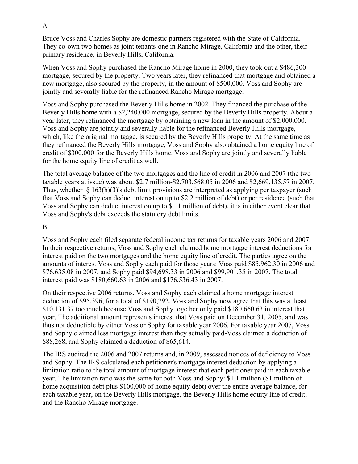Bruce Voss and Charles Sophy are domestic partners registered with the State of California. They co-own two homes as joint tenants-one in Rancho Mirage, California and the other, their primary residence, in Beverly Hills, California.

When Voss and Sophy purchased the Rancho Mirage home in 2000, they took out a \$486,300 mortgage, secured by the property. Two years later, they refinanced that mortgage and obtained a new mortgage, also secured by the property, in the amount of \$500,000. Voss and Sophy are jointly and severally liable for the refinanced Rancho Mirage mortgage.

Voss and Sophy purchased the Beverly Hills home in 2002. They financed the purchase of the Beverly Hills home with a \$2,240,000 mortgage, secured by the Beverly Hills property. About a year later, they refinanced the mortgage by obtaining a new loan in the amount of \$2,000,000. Voss and Sophy are jointly and severally liable for the refinanced Beverly Hills mortgage, which, like the original mortgage, is secured by the Beverly Hills property. At the same time as they refinanced the Beverly Hills mortgage, Voss and Sophy also obtained a home equity line of credit of \$300,000 for the Beverly Hills home. Voss and Sophy are jointly and severally liable for the home equity line of credit as well.

The total average balance of the two mortgages and the line of credit in 2006 and 2007 (the two taxable years at issue) was about \$2.7 million-\$2,703,568.05 in 2006 and \$2,669,135.57 in 2007. Thus, whether  $\S 163(h)(3)$ 's debt limit provisions are interpreted as applying per taxpayer (such that Voss and Sophy can deduct interest on up to \$2.2 million of debt) or per residence (such that Voss and Sophy can deduct interest on up to \$1.1 million of debt), it is in either event clear that Voss and Sophy's debt exceeds the statutory debt limits.

## B

Voss and Sophy each filed separate federal income tax returns for taxable years 2006 and 2007. In their respective returns, Voss and Sophy each claimed home mortgage interest deductions for interest paid on the two mortgages and the home equity line of credit. The parties agree on the amounts of interest Voss and Sophy each paid for those years: Voss paid \$85,962.30 in 2006 and \$76,635.08 in 2007, and Sophy paid \$94,698.33 in 2006 and \$99,901.35 in 2007. The total interest paid was \$180,660.63 in 2006 and \$176,536.43 in 2007.

On their respective 2006 returns, Voss and Sophy each claimed a home mortgage interest deduction of \$95,396, for a total of \$190,792. Voss and Sophy now agree that this was at least \$10,131.37 too much because Voss and Sophy together only paid \$180,660.63 in interest that year. The additional amount represents interest that Voss paid on December 31, 2005, and was thus not deductible by either Voss or Sophy for taxable year 2006. For taxable year 2007, Voss and Sophy claimed less mortgage interest than they actually paid-Voss claimed a deduction of \$88,268, and Sophy claimed a deduction of \$65,614.

The IRS audited the 2006 and 2007 returns and, in 2009, assessed notices of deficiency to Voss and Sophy. The IRS calculated each petitioner's mortgage interest deduction by applying a limitation ratio to the total amount of mortgage interest that each petitioner paid in each taxable year. The limitation ratio was the same for both Voss and Sophy: \$1.1 million (\$1 million of home acquisition debt plus \$100,000 of home equity debt) over the entire average balance, for each taxable year, on the Beverly Hills mortgage, the Beverly Hills home equity line of credit, and the Rancho Mirage mortgage.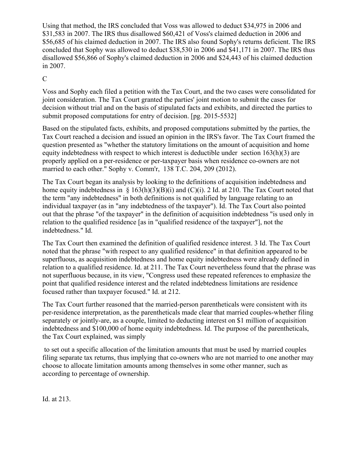Using that method, the IRS concluded that Voss was allowed to deduct \$34,975 in 2006 and \$31,583 in 2007. The IRS thus disallowed \$60,421 of Voss's claimed deduction in 2006 and \$56,685 of his claimed deduction in 2007. The IRS also found Sophy's returns deficient. The IRS concluded that Sophy was allowed to deduct \$38,530 in 2006 and \$41,171 in 2007. The IRS thus disallowed \$56,866 of Sophy's claimed deduction in 2006 and \$24,443 of his claimed deduction in 2007.

# $\overline{C}$

Voss and Sophy each filed a petition with the Tax Court, and the two cases were consolidated for joint consideration. The Tax Court granted the parties' joint motion to submit the cases for decision without trial and on the basis of stipulated facts and exhibits, and directed the parties to submit proposed computations for entry of decision. [pg. 2015-5532]

Based on the stipulated facts, exhibits, and proposed computations submitted by the parties, the Tax Court reached a decision and issued an opinion in the IRS's favor. The Tax Court framed the question presented as "whether the statutory limitations on the amount of acquisition and home equity indebtedness with respect to which interest is deductible under section  $163(h)(3)$  are properly applied on a per-residence or per-taxpayer basis when residence co-owners are not married to each other." Sophy v. Comm'r, 138 T.C. 204, 209 (2012).

The Tax Court began its analysis by looking to the definitions of acquisition indebtedness and home equity indebtedness in § 163(h)(3)(B)(i) and (C)(i). 2 Id. at 210. The Tax Court noted that the term "any indebtedness" in both definitions is not qualified by language relating to an individual taxpayer (as in "any indebtedness of the taxpayer"). Id. The Tax Court also pointed out that the phrase "of the taxpayer" in the definition of acquisition indebtedness "is used only in relation to the qualified residence [as in "qualified residence of the taxpayer"], not the indebtedness." Id.

The Tax Court then examined the definition of qualified residence interest. 3 Id. The Tax Court noted that the phrase "with respect to any qualified residence" in that definition appeared to be superfluous, as acquisition indebtedness and home equity indebtedness were already defined in relation to a qualified residence. Id. at 211. The Tax Court nevertheless found that the phrase was not superfluous because, in its view, "Congress used these repeated references to emphasize the point that qualified residence interest and the related indebtedness limitations are residence focused rather than taxpayer focused." Id. at 212.

The Tax Court further reasoned that the married-person parentheticals were consistent with its per-residence interpretation, as the parentheticals made clear that married couples-whether filing separately or jointly-are, as a couple, limited to deducting interest on \$1 million of acquisition indebtedness and \$100,000 of home equity indebtedness. Id. The purpose of the parentheticals, the Tax Court explained, was simply

to set out a specific allocation of the limitation amounts that must be used by married couples filing separate tax returns, thus implying that co-owners who are not married to one another may choose to allocate limitation amounts among themselves in some other manner, such as according to percentage of ownership.

Id. at 213.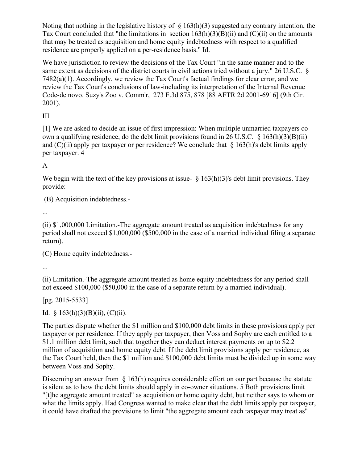Noting that nothing in the legislative history of  $\S$  163(h)(3) suggested any contrary intention, the Tax Court concluded that "the limitations in section  $163(h)(3)(B)(ii)$  and  $(C)(ii)$  on the amounts that may be treated as acquisition and home equity indebtedness with respect to a qualified residence are properly applied on a per-residence basis." Id.

We have jurisdiction to review the decisions of the Tax Court "in the same manner and to the same extent as decisions of the district courts in civil actions tried without a jury." 26 U.S.C. § 7482(a)(1). Accordingly, we review the Tax Court's factual findings for clear error, and we review the Tax Court's conclusions of law-including its interpretation of the Internal Revenue Code-de novo. Suzy's Zoo v. Comm'r, 273 F.3d 875, 878 [88 AFTR 2d 2001-6916] (9th Cir. 2001).

III

[1] We are asked to decide an issue of first impression: When multiple unmarried taxpayers coown a qualifying residence, do the debt limit provisions found in 26 U.S.C.  $\frac{163(h)(3)(B)(ii)}{26(h)(5)}$ and  $(C)(ii)$  apply per taxpayer or per residence? We conclude that § 163(h)'s debt limits apply per taxpayer. 4

A

We begin with the text of the key provisions at issue-  $\frac{163(h)(3)}{s}$  debt limit provisions. They provide:

(B) Acquisition indebtedness.-

...

(ii) \$1,000,000 Limitation.-The aggregate amount treated as acquisition indebtedness for any period shall not exceed \$1,000,000 (\$500,000 in the case of a married individual filing a separate return).

(C) Home equity indebtedness.-

...

(ii) Limitation.-The aggregate amount treated as home equity indebtedness for any period shall not exceed \$100,000 (\$50,000 in the case of a separate return by a married individual).

[pg. 2015-5533]

Id.  $\{163(h)(3)(B)(ii)$ , (C)(ii).

The parties dispute whether the \$1 million and \$100,000 debt limits in these provisions apply per taxpayer or per residence. If they apply per taxpayer, then Voss and Sophy are each entitled to a \$1.1 million debt limit, such that together they can deduct interest payments on up to \$2.2 million of acquisition and home equity debt. If the debt limit provisions apply per residence, as the Tax Court held, then the \$1 million and \$100,000 debt limits must be divided up in some way between Voss and Sophy.

Discerning an answer from  $\S$  163(h) requires considerable effort on our part because the statute is silent as to how the debt limits should apply in co-owner situations. 5 Both provisions limit "[t]he aggregate amount treated" as acquisition or home equity debt, but neither says to whom or what the limits apply. Had Congress wanted to make clear that the debt limits apply per taxpayer, it could have drafted the provisions to limit "the aggregate amount each taxpayer may treat as"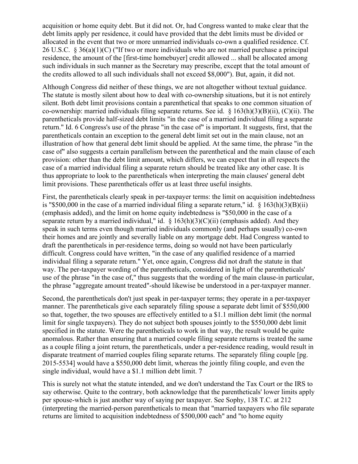acquisition or home equity debt. But it did not. Or, had Congress wanted to make clear that the debt limits apply per residence, it could have provided that the debt limits must be divided or allocated in the event that two or more unmarried individuals co-own a qualified residence. Cf. 26 U.S.C. § 36(a)(1)(C) ("If two or more individuals who are not married purchase a principal residence, the amount of the [first-time homebuyer] credit allowed ... shall be allocated among such individuals in such manner as the Secretary may prescribe, except that the total amount of the credits allowed to all such individuals shall not exceed \$8,000"). But, again, it did not.

Although Congress did neither of these things, we are not altogether without textual guidance. The statute is mostly silent about how to deal with co-ownership situations, but it is not entirely silent. Both debt limit provisions contain a parenthetical that speaks to one common situation of co-ownership: married individuals filing separate returns. See id. § 163(h)(3)(B)(ii), (C)(ii). The parentheticals provide half-sized debt limits "in the case of a married individual filing a separate return." Id. 6 Congress's use of the phrase "in the case of" is important. It suggests, first, that the parentheticals contain an exception to the general debt limit set out in the main clause, not an illustration of how that general debt limit should be applied. At the same time, the phrase "in the case of" also suggests a certain parallelism between the parenthetical and the main clause of each provision: other than the debt limit amount, which differs, we can expect that in all respects the case of a married individual filing a separate return should be treated like any other case. It is thus appropriate to look to the parentheticals when interpreting the main clauses' general debt limit provisions. These parentheticals offer us at least three useful insights.

First, the parentheticals clearly speak in per-taxpayer terms: the limit on acquisition indebtedness is "\$500,000 in the case of a married individual filing a separate return," id.  $\S$  163(h)(3)(B)(ii) (emphasis added), and the limit on home equity indebtedness is "\$50,000 in the case of a separate return by a married individual," id.  $\S$  163(h)(3)(C)(ii) (emphasis added). And they speak in such terms even though married individuals commonly (and perhaps usually) co-own their homes and are jointly and severally liable on any mortgage debt. Had Congress wanted to draft the parentheticals in per-residence terms, doing so would not have been particularly difficult. Congress could have written, "in the case of any qualified residence of a married individual filing a separate return." Yet, once again, Congress did not draft the statute in that way. The per-taxpayer wording of the parentheticals, considered in light of the parentheticals' use of the phrase "in the case of," thus suggests that the wording of the main clause-in particular, the phrase "aggregate amount treated"-should likewise be understood in a per-taxpayer manner.

Second, the parentheticals don't just speak in per-taxpayer terms; they operate in a per-taxpayer manner. The parentheticals give each separately filing spouse a separate debt limit of \$550,000 so that, together, the two spouses are effectively entitled to a \$1.1 million debt limit (the normal limit for single taxpayers). They do not subject both spouses jointly to the \$550,000 debt limit specified in the statute. Were the parentheticals to work in that way, the result would be quite anomalous. Rather than ensuring that a married couple filing separate returns is treated the same as a couple filing a joint return, the parentheticals, under a per-residence reading, would result in disparate treatment of married couples filing separate returns. The separately filing couple [pg. 2015-5534] would have a \$550,000 debt limit, whereas the jointly filing couple, and even the single individual, would have a \$1.1 million debt limit. 7

This is surely not what the statute intended, and we don't understand the Tax Court or the IRS to say otherwise. Quite to the contrary, both acknowledge that the parentheticals' lower limits apply per spouse-which is just another way of saying per taxpayer. See Sophy, 138 T.C. at 212 (interpreting the married-person parentheticals to mean that "married taxpayers who file separate returns are limited to acquisition indebtedness of \$500,000 each" and "to home equity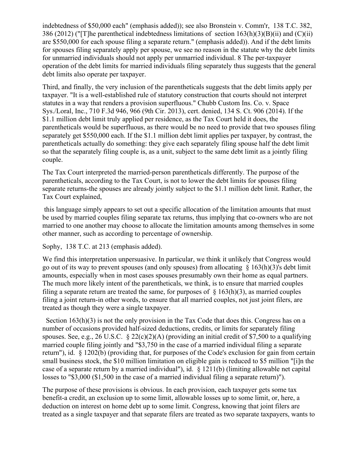indebtedness of \$50,000 each" (emphasis added)); see also Bronstein v. Comm'r, 138 T.C. 382, 386 (2012) ("[T]he parenthetical indebtedness limitations of section  $163(h)(3)(B)(ii)$  and  $(C)(ii)$ are \$550,000 for each spouse filing a separate return." (emphasis added)). And if the debt limits for spouses filing separately apply per spouse, we see no reason in the statute why the debt limits for unmarried individuals should not apply per unmarried individual. 8 The per-taxpayer operation of the debt limits for married individuals filing separately thus suggests that the general debt limits also operate per taxpayer.

Third, and finally, the very inclusion of the parentheticals suggests that the debt limits apply per taxpayer. "It is a well-established rule of statutory construction that courts should not interpret statutes in a way that renders a provision superfluous." Chubb Custom Ins. Co. v. Space Sys./Loral, Inc., 710 F.3d 946, 966 (9th Cir. 2013), cert. denied, 134 S. Ct. 906 (2014). If the \$1.1 million debt limit truly applied per residence, as the Tax Court held it does, the parentheticals would be superfluous, as there would be no need to provide that two spouses filing separately get \$550,000 each. If the \$1.1 million debt limit applies per taxpayer, by contrast, the parentheticals actually do something: they give each separately filing spouse half the debt limit so that the separately filing couple is, as a unit, subject to the same debt limit as a jointly filing couple.

The Tax Court interpreted the married-person parentheticals differently. The purpose of the parentheticals, according to the Tax Court, is not to lower the debt limits for spouses filing separate returns-the spouses are already jointly subject to the \$1.1 million debt limit. Rather, the Tax Court explained,

this language simply appears to set out a specific allocation of the limitation amounts that must be used by married couples filing separate tax returns, thus implying that co-owners who are not married to one another may choose to allocate the limitation amounts among themselves in some other manner, such as according to percentage of ownership.

Sophy, 138 T.C. at 213 (emphasis added).

We find this interpretation unpersuasive. In particular, we think it unlikely that Congress would go out of its way to prevent spouses (and only spouses) from allocating  $\S$  163(h)(3)'s debt limit amounts, especially when in most cases spouses presumably own their home as equal partners. The much more likely intent of the parentheticals, we think, is to ensure that married couples filing a separate return are treated the same, for purposes of  $\S$  163(h)(3), as married couples filing a joint return-in other words, to ensure that all married couples, not just joint filers, are treated as though they were a single taxpayer.

Section 163(h)(3) is not the only provision in the Tax Code that does this. Congress has on a number of occasions provided half-sized deductions, credits, or limits for separately filing spouses. See, e.g., 26 U.S.C.  $\&$  22(c)(2)(A) (providing an initial credit of \$7,500 to a qualifying married couple filing jointly and "\$3,750 in the case of a married individual filing a separate return"), id. § 1202(b) (providing that, for purposes of the Code's exclusion for gain from certain small business stock, the \$10 million limitation on eligible gain is reduced to \$5 million "[i]n the case of a separate return by a married individual"), id. § 1211(b) (limiting allowable net capital losses to "\$3,000 (\$1,500 in the case of a married individual filing a separate return)").

The purpose of these provisions is obvious. In each provision, each taxpayer gets some tax benefit-a credit, an exclusion up to some limit, allowable losses up to some limit, or, here, a deduction on interest on home debt up to some limit. Congress, knowing that joint filers are treated as a single taxpayer and that separate filers are treated as two separate taxpayers, wants to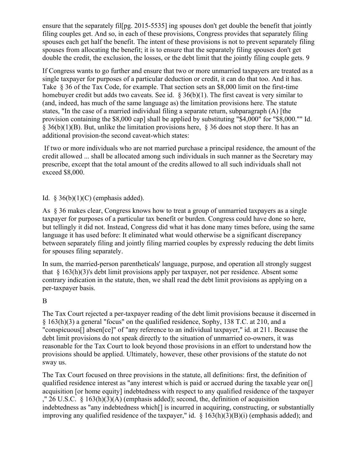ensure that the separately fil[pg. 2015-5535] ing spouses don't get double the benefit that jointly filing couples get. And so, in each of these provisions, Congress provides that separately filing spouses each get half the benefit. The intent of these provisions is not to prevent separately filing spouses from allocating the benefit; it is to ensure that the separately filing spouses don't get double the credit, the exclusion, the losses, or the debt limit that the jointly filing couple gets. 9

If Congress wants to go further and ensure that two or more unmarried taxpayers are treated as a single taxpayer for purposes of a particular deduction or credit, it can do that too. And it has. Take § 36 of the Tax Code, for example. That section sets an \$8,000 limit on the first-time homebuyer credit but adds two caveats. See id.  $\frac{836(b)(1)}{2}$ . The first caveat is very similar to (and, indeed, has much of the same language as) the limitation provisions here. The statute states, "In the case of a married individual filing a separate return, subparagraph (A) [the provision containing the \$8,000 cap] shall be applied by substituting "\$4,000" for "\$8,000."" Id.  $\S$  36(b)(1)(B). But, unlike the limitation provisions here,  $\S$  36 does not stop there. It has an additional provision-the second caveat-which states:

If two or more individuals who are not married purchase a principal residence, the amount of the credit allowed ... shall be allocated among such individuals in such manner as the Secretary may prescribe, except that the total amount of the credits allowed to all such individuals shall not exceed \$8,000.

# Id.  $§$  36(b)(1)(C) (emphasis added).

As § 36 makes clear, Congress knows how to treat a group of unmarried taxpayers as a single taxpayer for purposes of a particular tax benefit or burden. Congress could have done so here, but tellingly it did not. Instead, Congress did what it has done many times before, using the same language it has used before: It eliminated what would otherwise be a significant discrepancy between separately filing and jointly filing married couples by expressly reducing the debt limits for spouses filing separately.

In sum, the married-person parentheticals' language, purpose, and operation all strongly suggest that  $\S$  163(h)(3)'s debt limit provisions apply per taxpayer, not per residence. Absent some contrary indication in the statute, then, we shall read the debt limit provisions as applying on a per-taxpayer basis.

# B

The Tax Court rejected a per-taxpayer reading of the debt limit provisions because it discerned in § 163(h)(3) a general "focus" on the qualified residence, Sophy, 138 T.C. at 210, and a "conspicuous[] absen[ce]" of "any reference to an individual taxpayer," id. at 211. Because the debt limit provisions do not speak directly to the situation of unmarried co-owners, it was reasonable for the Tax Court to look beyond those provisions in an effort to understand how the provisions should be applied. Ultimately, however, these other provisions of the statute do not sway us.

The Tax Court focused on three provisions in the statute, all definitions: first, the definition of qualified residence interest as "any interest which is paid or accrued during the taxable year on[] acquisition [or home equity] indebtedness with respect to any qualified residence of the taxpayer ," 26 U.S.C.  $\S 163(h)(3)(A)$  (emphasis added); second, the, definition of acquisition indebtedness as "any indebtedness which[] is incurred in acquiring, constructing, or substantially improving any qualified residence of the taxpayer," id.  $\S$  163(h)(3)(B)(i) (emphasis added); and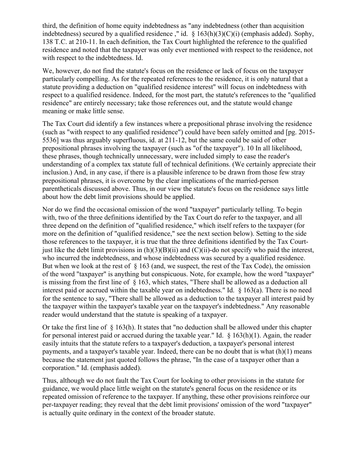third, the definition of home equity indebtedness as "any indebtedness (other than acquisition indebtedness) secured by a qualified residence," id.  $\S$  163(h)(3)(C)(i) (emphasis added). Sophy, 138 T.C. at 210-11. In each definition, the Tax Court highlighted the reference to the qualified residence and noted that the taxpayer was only ever mentioned with respect to the residence, not with respect to the indebtedness. Id.

We, however, do not find the statute's focus on the residence or lack of focus on the taxpayer particularly compelling. As for the repeated references to the residence, it is only natural that a statute providing a deduction on "qualified residence interest" will focus on indebtedness with respect to a qualified residence. Indeed, for the most part, the statute's references to the "qualified residence" are entirely necessary; take those references out, and the statute would change meaning or make little sense.

The Tax Court did identify a few instances where a prepositional phrase involving the residence (such as "with respect to any qualified residence") could have been safely omitted and [pg. 2015- 5536] was thus arguably superfluous, id. at 211-12, but the same could be said of other prepositional phrases involving the taxpayer (such as "of the taxpayer"). 10 In all likelihood, these phrases, though technically unnecessary, were included simply to ease the reader's understanding of a complex tax statute full of technical definitions. (We certainly appreciate their inclusion.) And, in any case, if there is a plausible inference to be drawn from those few stray prepositional phrases, it is overcome by the clear implications of the married-person parentheticals discussed above. Thus, in our view the statute's focus on the residence says little about how the debt limit provisions should be applied.

Nor do we find the occasional omission of the word "taxpayer" particularly telling. To begin with, two of the three definitions identified by the Tax Court do refer to the taxpayer, and all three depend on the definition of "qualified residence," which itself refers to the taxpayer (for more on the definition of "qualified residence," see the next section below). Setting to the side those references to the taxpayer, it is true that the three definitions identified by the Tax Courtjust like the debt limit provisions in  $(h)(3)(B)(ii)$  and  $(C)(ii)$ -do not specify who paid the interest, who incurred the indebtedness, and whose indebtedness was secured by a qualified residence. But when we look at the rest of  $\S$  163 (and, we suspect, the rest of the Tax Code), the omission of the word "taxpayer" is anything but conspicuous. Note, for example, how the word "taxpayer" is missing from the first line of § 163, which states, "There shall be allowed as a deduction all interest paid or accrued within the taxable year on indebtedness." Id. § 163(a). There is no need for the sentence to say, "There shall be allowed as a deduction to the taxpayer all interest paid by the taxpayer within the taxpayer's taxable year on the taxpayer's indebtedness." Any reasonable reader would understand that the statute is speaking of a taxpayer.

Or take the first line of  $\S$  163(h). It states that "no deduction shall be allowed under this chapter for personal interest paid or accrued during the taxable year." Id.  $\S$  163(h)(1). Again, the reader easily intuits that the statute refers to a taxpayer's deduction, a taxpayer's personal interest payments, and a taxpayer's taxable year. Indeed, there can be no doubt that is what  $(h)(1)$  means because the statement just quoted follows the phrase, "In the case of a taxpayer other than a corporation." Id. (emphasis added).

Thus, although we do not fault the Tax Court for looking to other provisions in the statute for guidance, we would place little weight on the statute's general focus on the residence or its repeated omission of reference to the taxpayer. If anything, these other provisions reinforce our per-taxpayer reading; they reveal that the debt limit provisions' omission of the word "taxpayer" is actually quite ordinary in the context of the broader statute.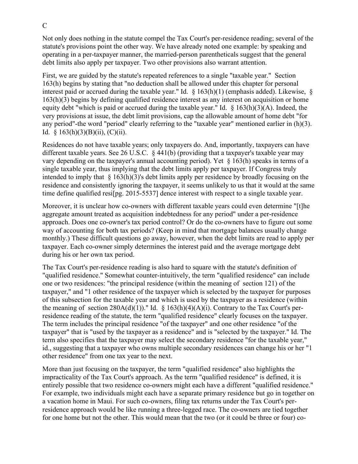Not only does nothing in the statute compel the Tax Court's per-residence reading; several of the statute's provisions point the other way. We have already noted one example: by speaking and operating in a per-taxpayer manner, the married-person parentheticals suggest that the general debt limits also apply per taxpayer. Two other provisions also warrant attention.

First, we are guided by the statute's repeated references to a single "taxable year." Section 163(h) begins by stating that "no deduction shall be allowed under this chapter for personal interest paid or accrued during the taxable year." Id. § 163(h)(1) (emphasis added). Likewise, § 163(h)(3) begins by defining qualified residence interest as any interest on acquisition or home equity debt "which is paid or accrued during the taxable year." Id. § 163(h)(3)(A). Indeed, the very provisions at issue, the debt limit provisions, cap the allowable amount of home debt "for any period"-the word "period" clearly referring to the "taxable year" mentioned earlier in (h)(3). Id.  $§ 163(h)(3)(B)(ii)$ , (C)(ii).

Residences do not have taxable years; only taxpayers do. And, importantly, taxpayers can have different taxable years. See 26 U.S.C. § 441(b) (providing that a taxpayer's taxable year may vary depending on the taxpayer's annual accounting period). Yet § 163(h) speaks in terms of a single taxable year, thus implying that the debt limits apply per taxpayer. If Congress truly intended to imply that  $\S$  163(h)(3)'s debt limits apply per residence by broadly focusing on the residence and consistently ignoring the taxpayer, it seems unlikely to us that it would at the same time define qualified resi[pg. 2015-5537] dence interest with respect to a single taxable year.

Moreover, it is unclear how co-owners with different taxable years could even determine "[t]he aggregate amount treated as acquisition indebtedness for any period" under a per-residence approach. Does one co-owner's tax period control? Or do the co-owners have to figure out some way of accounting for both tax periods? (Keep in mind that mortgage balances usually change monthly.) These difficult questions go away, however, when the debt limits are read to apply per taxpayer. Each co-owner simply determines the interest paid and the average mortgage debt during his or her own tax period.

The Tax Court's per-residence reading is also hard to square with the statute's definition of "qualified residence." Somewhat counter-intuitively, the term "qualified residence" can include one or two residences: "the principal residence (within the meaning of section 121) of the taxpayer," and "1 other residence of the taxpayer which is selected by the taxpayer for purposes of this subsection for the taxable year and which is used by the taxpayer as a residence (within the meaning of section  $280A(d)(1)$ )." Id. § 163(h)(4)(A)(i). Contrary to the Tax Court's perresidence reading of the statute, the term "qualified residence" clearly focuses on the taxpayer. The term includes the principal residence "of the taxpayer" and one other residence "of the taxpayer" that is "used by the taxpayer as a residence" and is "selected by the taxpayer." Id. The term also specifies that the taxpayer may select the secondary residence "for the taxable year," id., suggesting that a taxpayer who owns multiple secondary residences can change his or her "1 other residence" from one tax year to the next.

More than just focusing on the taxpayer, the term "qualified residence" also highlights the impracticality of the Tax Court's approach. As the term "qualified residence" is defined, it is entirely possible that two residence co-owners might each have a different "qualified residence." For example, two individuals might each have a separate primary residence but go in together on a vacation home in Maui. For such co-owners, filing tax returns under the Tax Court's perresidence approach would be like running a three-legged race. The co-owners are tied together for one home but not the other. This would mean that the two (or it could be three or four) co-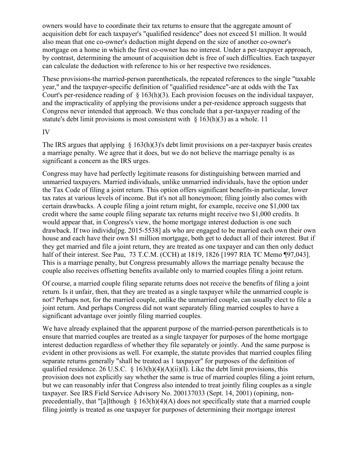owners would have to coordinate their tax returns to ensure that the aggregate amount of acquisition debt for each taxpayer's "qualified residence" does not exceed \$1 million. It would also mean that one co-owner's deduction might depend on the size of another co-owner's mortgage on a home in which the first co-owner has no interest. Under a per-taxpayer approach, by contrast, determining the amount of acquisition debt is free of such difficulties. Each taxpayer can calculate the deduction with reference to his or her respective two residences.

These provisions-the married-person parentheticals, the repeated references to the single "taxable year," and the taxpayer-specific definition of "qualified residence"-are at odds with the Tax Court's per-residence reading of  $\S 163(h)(3)$ . Each provision focuses on the individual taxpayer, and the impracticality of applying the provisions under a per-residence approach suggests that Congress never intended that approach. We thus conclude that a per-taxpayer reading of the statute's debt limit provisions is most consistent with  $\S$  163(h)(3) as a whole. 11

### IV

The IRS argues that applying  $\S$  163(h)(3)'s debt limit provisions on a per-taxpayer basis creates a marriage penalty. We agree that it does, but we do not believe the marriage penalty is as significant a concern as the IRS urges.

Congress may have had perfectly legitimate reasons for distinguishing between married and unmarried taxpayers. Married individuals, unlike unmarried individuals, have the option under the Tax Code of filing a joint return. This option offers significant benefits-in particular, lower tax rates at various levels of income. But it's not all honeymoon; filing jointly also comes with certain drawbacks. A couple filing a joint return might, for example, receive one \$1,000 tax credit where the same couple filing separate tax returns might receive two \$1,000 credits. It would appear that, in Congress's view, the home mortgage interest deduction is one such drawback. If two individu[pg. 2015-5538] als who are engaged to be married each own their own house and each have their own \$1 million mortgage, both get to deduct all of their interest. But if they get married and file a joint return, they are treated as one taxpayer and can then only deduct half of their interest. See Pau, 73 T.C.M. (CCH) at 1819, 1826 [1997 RIA TC Memo ¶97,043]. This is a marriage penalty, but Congress presumably allows the marriage penalty because the couple also receives offsetting benefits available only to married couples filing a joint return.

Of course, a married couple filing separate returns does not receive the benefits of filing a joint return. Is it unfair, then, that they are treated as a single taxpayer while the unmarried couple is not? Perhaps not, for the married couple, unlike the unmarried couple, can usually elect to file a joint return. And perhaps Congress did not want separately filing married couples to have a significant advantage over jointly filing married couples.

We have already explained that the apparent purpose of the married-person parentheticals is to ensure that married couples are treated as a single taxpayer for purposes of the home mortgage interest deduction regardless of whether they file separately or jointly. And the same purpose is evident in other provisions as well. For example, the statute provides that married couples filing separate returns generally "shall be treated as 1 taxpayer" for purposes of the definition of qualified residence. 26 U.S.C. § 163(h)(4)(A)(ii)(I). Like the debt limit provisions, this provision does not explicitly say whether the same is true of married couples filing a joint return, but we can reasonably infer that Congress also intended to treat jointly filing couples as a single taxpayer. See IRS Field Service Advisory No. 200137033 (Sept. 14, 2001) (opining, nonprecedentially, that "[a]lthough  $\S$  163(h)(4)(A) does not specifically state that a married couple filing jointly is treated as one taxpayer for purposes of determining their mortgage interest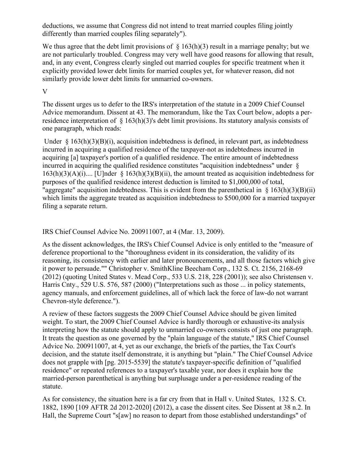deductions, we assume that Congress did not intend to treat married couples filing jointly differently than married couples filing separately").

We thus agree that the debt limit provisions of  $\S$  163(h)(3) result in a marriage penalty; but we are not particularly troubled. Congress may very well have good reasons for allowing that result, and, in any event, Congress clearly singled out married couples for specific treatment when it explicitly provided lower debt limits for married couples yet, for whatever reason, did not similarly provide lower debt limits for unmarried co-owners.

## V

The dissent urges us to defer to the IRS's interpretation of the statute in a 2009 Chief Counsel Advice memorandum. Dissent at 43. The memorandum, like the Tax Court below, adopts a perresidence interpretation of § 163(h)(3)'s debt limit provisions. Its statutory analysis consists of one paragraph, which reads:

Under  $\S$  163(h)(3)(B)(i), acquisition indebtedness is defined, in relevant part, as indebtedness incurred in acquiring a qualified residence of the taxpayer-not as indebtedness incurred in acquiring [a] taxpayer's portion of a qualified residence. The entire amount of indebtedness incurred in acquiring the qualified residence constitutes "acquisition indebtedness" under §  $163(h)(3)(A)(i)...$  [U]nder §  $163(h)(3)(B)(ii)$ , the amount treated as acquisition indebtedness for purposes of the qualified residence interest deduction is limited to \$1,000,000 of total, "aggregate" acquisition indebtedness. This is evident from the parenthetical in  $\S$  163(h)(3)(B)(ii) which limits the aggregate treated as acquisition indebtedness to \$500,000 for a married taxpayer filing a separate return.

# IRS Chief Counsel Advice No. 200911007, at 4 (Mar. 13, 2009).

As the dissent acknowledges, the IRS's Chief Counsel Advice is only entitled to the "measure of deference proportional to the "thoroughness evident in its consideration, the validity of its reasoning, its consistency with earlier and later pronouncements, and all those factors which give it power to persuade."" Christopher v. SmithKline Beecham Corp., 132 S. Ct. 2156, 2168-69 (2012) (quoting United States v. Mead Corp., 533 U.S. 218, 228 (2001)); see also Christensen v. Harris Cnty., 529 U.S. 576, 587 (2000) ("Interpretations such as those ... in policy statements, agency manuals, and enforcement guidelines, all of which lack the force of law-do not warrant Chevron-style deference.").

A review of these factors suggests the 2009 Chief Counsel Advice should be given limited weight. To start, the 2009 Chief Counsel Advice is hardly thorough or exhaustive-its analysis interpreting how the statute should apply to unmarried co-owners consists of just one paragraph. It treats the question as one governed by the "plain language of the statute," IRS Chief Counsel Advice No. 200911007, at 4, yet as our exchange, the briefs of the parties, the Tax Court's decision, and the statute itself demonstrate, it is anything but "plain." The Chief Counsel Advice does not grapple with [pg. 2015-5539] the statute's taxpayer-specific definition of "qualified residence" or repeated references to a taxpayer's taxable year, nor does it explain how the married-person parenthetical is anything but surplusage under a per-residence reading of the statute.

As for consistency, the situation here is a far cry from that in Hall v. United States, 132 S. Ct. 1882, 1890 [109 AFTR 2d 2012-2020] (2012), a case the dissent cites. See Dissent at 38 n.2. In Hall, the Supreme Court "s[aw] no reason to depart from those established understandings" of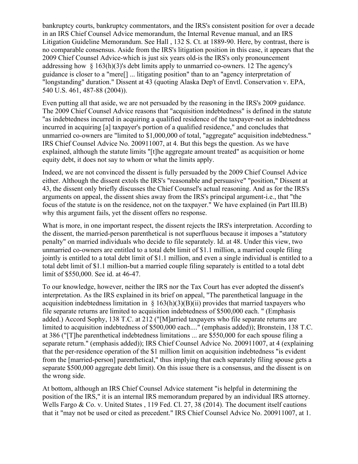bankruptcy courts, bankruptcy commentators, and the IRS's consistent position for over a decade in an IRS Chief Counsel Advice memorandum, the Internal Revenue manual, and an IRS Litigation Guideline Memorandum. See Hall , 132 S. Ct. at 1889-90. Here, by contrast, there is no comparable consensus. Aside from the IRS's litigation position in this case, it appears that the 2009 Chief Counsel Advice-which is just six years old-is the IRS's only pronouncement addressing how § 163(h)(3)'s debt limits apply to unmarried co-owners. 12 The agency's guidance is closer to a "mere[] ... litigating position" than to an "agency interpretation of "longstanding" duration." Dissent at 43 (quoting Alaska Dep't of Envtl. Conservation v. EPA, 540 U.S. 461, 487-88 (2004)).

Even putting all that aside, we are not persuaded by the reasoning in the IRS's 2009 guidance. The 2009 Chief Counsel Advice reasons that "acquisition indebtedness" is defined in the statute "as indebtedness incurred in acquiring a qualified residence of the taxpayer-not as indebtedness incurred in acquiring [a] taxpayer's portion of a qualified residence," and concludes that unmarried co-owners are "limited to \$1,000,000 of total, "aggregate" acquisition indebtedness." IRS Chief Counsel Advice No. 200911007, at 4. But this begs the question. As we have explained, although the statute limits "[t]he aggregate amount treated" as acquisition or home equity debt, it does not say to whom or what the limits apply.

Indeed, we are not convinced the dissent is fully persuaded by the 2009 Chief Counsel Advice either. Although the dissent extols the IRS's "reasonable and persuasive" "position," Dissent at 43, the dissent only briefly discusses the Chief Counsel's actual reasoning. And as for the IRS's arguments on appeal, the dissent shies away from the IRS's principal argument-i.e., that "the focus of the statute is on the residence, not on the taxpayer." We have explained (in Part III.B) why this argument fails, yet the dissent offers no response.

What is more, in one important respect, the dissent rejects the IRS's interpretation. According to the dissent, the married-person parenthetical is not superfluous because it imposes a "statutory penalty" on married individuals who decide to file separately. Id. at 48. Under this view, two unmarried co-owners are entitled to a total debt limit of \$1.1 million, a married couple filing jointly is entitled to a total debt limit of \$1.1 million, and even a single individual is entitled to a total debt limit of \$1.1 million-but a married couple filing separately is entitled to a total debt limit of \$550,000. See id. at 46-47.

To our knowledge, however, neither the IRS nor the Tax Court has ever adopted the dissent's interpretation. As the IRS explained in its brief on appeal, "The parenthetical language in the acquisition indebtedness limitation in  $\S$  163(h)(3)(B)(ii) provides that married taxpayers who file separate returns are limited to acquisition indebtedness of \$500,000 each. " (Emphasis added.) Accord Sophy, 138 T.C. at 212 ("[M]arried taxpayers who file separate returns are limited to acquisition indebtedness of \$500,000 each...." (emphasis added)); Bronstein, 138 T.C. at 386 ("[T]he parenthetical indebtedness limitations ... are \$550,000 for each spouse filing a separate return." (emphasis added)); IRS Chief Counsel Advice No. 200911007, at 4 (explaining that the per-residence operation of the \$1 million limit on acquisition indebtedness "is evident from the [married-person] parenthetical," thus implying that each separately filing spouse gets a separate \$500,000 aggregate debt limit). On this issue there is a consensus, and the dissent is on the wrong side.

At bottom, although an IRS Chief Counsel Advice statement "is helpful in determining the position of the IRS," it is an internal IRS memorandum prepared by an individual IRS attorney. Wells Fargo & Co. v. United States, 119 Fed. Cl. 27, 38 (2014). The document itself cautions that it "may not be used or cited as precedent." IRS Chief Counsel Advice No. 200911007, at 1.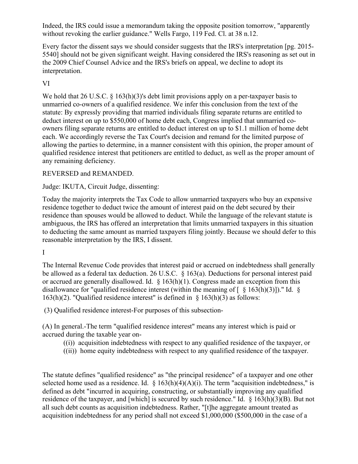Indeed, the IRS could issue a memorandum taking the opposite position tomorrow, "apparently without revoking the earlier guidance." Wells Fargo, 119 Fed. Cl. at 38 n.12.

Every factor the dissent says we should consider suggests that the IRS's interpretation [pg. 2015- 5540] should not be given significant weight. Having considered the IRS's reasoning as set out in the 2009 Chief Counsel Advice and the IRS's briefs on appeal, we decline to adopt its interpretation.

# VI

We hold that 26 U.S.C. § 163(h)(3)'s debt limit provisions apply on a per-taxpayer basis to unmarried co-owners of a qualified residence. We infer this conclusion from the text of the statute: By expressly providing that married individuals filing separate returns are entitled to deduct interest on up to \$550,000 of home debt each, Congress implied that unmarried coowners filing separate returns are entitled to deduct interest on up to \$1.1 million of home debt each. We accordingly reverse the Tax Court's decision and remand for the limited purpose of allowing the parties to determine, in a manner consistent with this opinion, the proper amount of qualified residence interest that petitioners are entitled to deduct, as well as the proper amount of any remaining deficiency.

# REVERSED and REMANDED.

Judge: IKUTA, Circuit Judge, dissenting:

Today the majority interprets the Tax Code to allow unmarried taxpayers who buy an expensive residence together to deduct twice the amount of interest paid on the debt secured by their residence than spouses would be allowed to deduct. While the language of the relevant statute is ambiguous, the IRS has offered an interpretation that limits unmarried taxpayers in this situation to deducting the same amount as married taxpayers filing jointly. Because we should defer to this reasonable interpretation by the IRS, I dissent.

### I

The Internal Revenue Code provides that interest paid or accrued on indebtedness shall generally be allowed as a federal tax deduction. 26 U.S.C. § 163(a). Deductions for personal interest paid or accrued are generally disallowed. Id. § 163(h)(1). Congress made an exception from this disallowance for "qualified residence interest (within the meaning of  $\lceil \frac{8}{2} \cdot 163(h)(3) \rceil$ )." Id.  $\frac{8}{2}$ 163(h)(2). "Qualified residence interest" is defined in  $\S$  163(h)(3) as follows:

(3) Qualified residence interest-For purposes of this subsection-

(A) In general.-The term "qualified residence interest" means any interest which is paid or accrued during the taxable year on-

- ((i)) acquisition indebtedness with respect to any qualified residence of the taxpayer, or
- ((ii)) home equity indebtedness with respect to any qualified residence of the taxpayer.

The statute defines "qualified residence" as "the principal residence" of a taxpayer and one other selected home used as a residence. Id.  $\S 163(h)(4)(A)(i)$ . The term "acquisition indebtedness," is defined as debt "incurred in acquiring, constructing, or substantially improving any qualified residence of the taxpayer, and [which] is secured by such residence." Id. § 163(h)(3)(B). But not all such debt counts as acquisition indebtedness. Rather, "[t]he aggregate amount treated as acquisition indebtedness for any period shall not exceed \$1,000,000 (\$500,000 in the case of a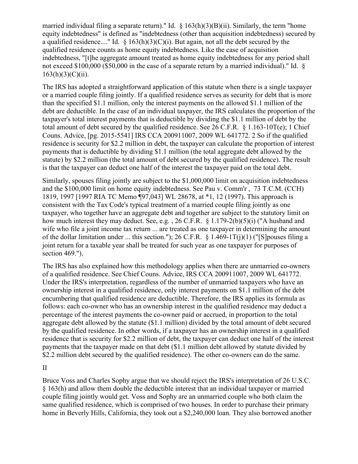married individual filing a separate return)." Id.  $\S$  163(h)(3)(B)(ii). Similarly, the term "home equity indebtedness" is defined as "indebtedness (other than acquisition indebtedness) secured by a qualified residence...." Id.  $\S$  163(h)(3)(C)(i). But again, not all the debt secured by the qualified residence counts as home equity indebtedness. Like the case of acquisition indebtedness, "[t]he aggregate amount treated as home equity indebtedness for any period shall not exceed \$100,000 (\$50,000 in the case of a separate return by a married individual)." Id. §  $163(h)(3)(C)(ii)$ .

The IRS has adopted a straightforward application of this statute when there is a single taxpayer or a married couple filing jointly. If a qualified residence serves as security for debt that is more than the specified \$1.1 million, only the interest payments on the allowed \$1.1 million of the debt are deductible. In the case of an individual taxpayer, the IRS calculates the proportion of the taxpayer's total interest payments that is deductible by dividing the \$1.1 million of debt by the total amount of debt secured by the qualified residence. See 26 C.F.R.  $\S 1.163-10T(e)$ ; 1 Chief Couns. Advice, [pg. 2015-5541] IRS CCA 200911007, 2009 WL 641772. 2 So if the qualified residence is security for \$2.2 million in debt, the taxpayer can calculate the proportion of interest payments that is deductible by dividing \$1.1 million (the total aggregate debt allowed by the statute) by \$2.2 million (the total amount of debt secured by the qualified residence). The result is that the taxpayer can deduct one half of the interest the taxpayer paid on the total debt.

Similarly, spouses filing jointly are subject to the \$1,000,000 limit on acquisition indebtedness and the \$100,000 limit on home equity indebtedness. See Pau v. Comm'r , 73 T.C.M. (CCH) 1819, 1997 [1997 RIA TC Memo ¶97,043] WL 28678, at \*1, 12 (1997). This approach is consistent with the Tax Code's typical treatment of a married couple filing jointly as one taxpayer, who together have an aggregate debt and together are subject to the statutory limit on how much interest they may deduct. See, e.g., 26 C.F.R. § 1.179-2(b)(5)(i) ("A husband and wife who file a joint income tax return ... are treated as one taxpayer in determining the amount of the dollar limitation under ... this section."); 26 C.F.R.  $\S$  1.469-1T(j)(1) ("[S] pouses filing a joint return for a taxable year shall be treated for such year as one taxpayer for purposes of section 469.").

The IRS has also explained how this methodology applies when there are unmarried co-owners of a qualified residence. See Chief Couns. Advice, IRS CCA 200911007, 2009 WL 641772. Under the IRS's interpretation, regardless of the number of unmarried taxpayers who have an ownership interest in a qualified residence, only interest payments on \$1.1 million of the debt encumbering that qualified residence are deductible. Therefore, the IRS applies its formula as follows: each co-owner who has an ownership interest in the qualified residence may deduct a percentage of the interest payments the co-owner paid or accrued, in proportion to the total aggregate debt allowed by the statute (\$1.1 million) divided by the total amount of debt secured by the qualified residence. In other words, if a taxpayer has an ownership interest in a qualified residence that is security for \$2.2 million of debt, the taxpayer can deduct one half of the interest payments that the taxpayer made on that debt (\$1.1 million debt allowed by statute divided by \$2.2 million debt secured by the qualified residence). The other co-owners can do the same.

II

Bruce Voss and Charles Sophy argue that we should reject the IRS's interpretation of 26 U.S.C. § 163(h) and allow them double the deductible interest that an individual taxpayer or married couple filing jointly would get. Voss and Sophy are an unmarried couple who both claim the same qualified residence, which is comprised of two houses. In order to purchase their primary home in Beverly Hills, California, they took out a \$2,240,000 loan. They also borrowed another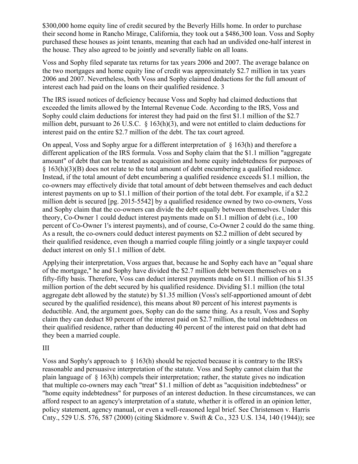\$300,000 home equity line of credit secured by the Beverly Hills home. In order to purchase their second home in Rancho Mirage, California, they took out a \$486,300 loan. Voss and Sophy purchased these houses as joint tenants, meaning that each had an undivided one-half interest in the house. They also agreed to be jointly and severally liable on all loans.

Voss and Sophy filed separate tax returns for tax years 2006 and 2007. The average balance on the two mortgages and home equity line of credit was approximately \$2.7 million in tax years 2006 and 2007. Nevertheless, both Voss and Sophy claimed deductions for the full amount of interest each had paid on the loans on their qualified residence. 3

The IRS issued notices of deficiency because Voss and Sophy had claimed deductions that exceeded the limits allowed by the Internal Revenue Code. According to the IRS, Voss and Sophy could claim deductions for interest they had paid on the first \$1.1 million of the \$2.7 million debt, pursuant to 26 U.S.C. § 163(h)(3), and were not entitled to claim deductions for interest paid on the entire \$2.7 million of the debt. The tax court agreed.

On appeal, Voss and Sophy argue for a different interpretation of § 163(h) and therefore a different application of the IRS formula. Voss and Sophy claim that the \$1.1 million "aggregate amount" of debt that can be treated as acquisition and home equity indebtedness for purposes of § 163(h)(3)(B) does not relate to the total amount of debt encumbering a qualified residence. Instead, if the total amount of debt encumbering a qualified residence exceeds \$1.1 million, the co-owners may effectively divide that total amount of debt between themselves and each deduct interest payments on up to \$1.1 million of their portion of the total debt. For example, if a \$2.2 million debt is secured [pg. 2015-5542] by a qualified residence owned by two co-owners, Voss and Sophy claim that the co-owners can divide the debt equally between themselves. Under this theory, Co-Owner 1 could deduct interest payments made on \$1.1 million of debt (i.e., 100 percent of Co-Owner 1's interest payments), and of course, Co-Owner 2 could do the same thing. As a result, the co-owners could deduct interest payments on \$2.2 million of debt secured by their qualified residence, even though a married couple filing jointly or a single taxpayer could deduct interest on only \$1.1 million of debt.

Applying their interpretation, Voss argues that, because he and Sophy each have an "equal share of the mortgage," he and Sophy have divided the \$2.7 million debt between themselves on a fifty-fifty basis. Therefore, Voss can deduct interest payments made on \$1.1 million of his \$1.35 million portion of the debt secured by his qualified residence. Dividing \$1.1 million (the total aggregate debt allowed by the statute) by \$1.35 million (Voss's self-apportioned amount of debt secured by the qualified residence), this means about 80 percent of his interest payments is deductible. And, the argument goes, Sophy can do the same thing. As a result, Voss and Sophy claim they can deduct 80 percent of the interest paid on \$2.7 million, the total indebtedness on their qualified residence, rather than deducting 40 percent of the interest paid on that debt had they been a married couple.

# III

Voss and Sophy's approach to § 163(h) should be rejected because it is contrary to the IRS's reasonable and persuasive interpretation of the statute. Voss and Sophy cannot claim that the plain language of § 163(h) compels their interpretation; rather, the statute gives no indication that multiple co-owners may each "treat" \$1.1 million of debt as "acquisition indebtedness" or "home equity indebtedness" for purposes of an interest deduction. In these circumstances, we can afford respect to an agency's interpretation of a statute, whether it is offered in an opinion letter, policy statement, agency manual, or even a well-reasoned legal brief. See Christensen v. Harris Cnty., 529 U.S. 576, 587 (2000) (citing Skidmore v. Swift & Co., 323 U.S. 134, 140 (1944)); see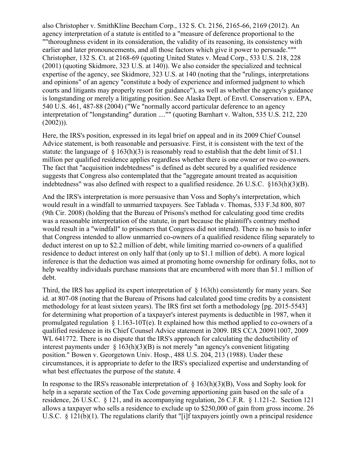also Christopher v. SmithKline Beecham Corp., 132 S. Ct. 2156, 2165-66, 2169 (2012). An agency interpretation of a statute is entitled to a "measure of deference proportional to the ""thoroughness evident in its consideration, the validity of its reasoning, its consistency with earlier and later pronouncements, and all those factors which give it power to persuade.""" Christopher, 132 S. Ct. at 2168-69 (quoting United States v. Mead Corp., 533 U.S. 218, 228 (2001) (quoting Skidmore, 323 U.S. at 140)). We also consider the specialized and technical expertise of the agency, see Skidmore, 323 U.S. at 140 (noting that the "rulings, interpretations and opinions" of an agency "constitute a body of experience and informed judgment to which courts and litigants may properly resort for guidance"), as well as whether the agency's guidance is longstanding or merely a litigating position. See Alaska Dept. of Envtl. Conservation v. EPA, 540 U.S. 461, 487-88 (2004) ("We "normally accord particular deference to an agency interpretation of "longstanding" duration ...."" (quoting Barnhart v. Walton, 535 U.S. 212, 220  $(2002))$ ).

Here, the IRS's position, expressed in its legal brief on appeal and in its 2009 Chief Counsel Advice statement, is both reasonable and persuasive. First, it is consistent with the text of the statute: the language of  $\S$  163(h)(3) is reasonably read to establish that the debt limit of \$1.1 million per qualified residence applies regardless whether there is one owner or two co-owners. The fact that "acquisition indebtedness" is defined as debt secured by a qualified residence suggests that Congress also contemplated that the "aggregate amount treated as acquisition indebtedness" was also defined with respect to a qualified residence. 26 U.S.C. §163(h)(3)(B).

And the IRS's interpretation is more persuasive than Voss and Sophy's interpretation, which would result in a windfall to unmarried taxpayers. See Tablada v. Thomas, 533 F.3d 800, 807 (9th Cir. 2008) (holding that the Bureau of Prisons's method for calculating good time credits was a reasonable interpretation of the statute, in part because the plaintiff's contrary method would result in a "windfall" to prisoners that Congress did not intend). There is no basis to infer that Congress intended to allow unmarried co-owners of a qualified residence filing separately to deduct interest on up to \$2.2 million of debt, while limiting married co-owners of a qualified residence to deduct interest on only half that (only up to \$1.1 million of debt). A more logical inference is that the deduction was aimed at promoting home ownership for ordinary folks, not to help wealthy individuals purchase mansions that are encumbered with more than \$1.1 million of debt.

Third, the IRS has applied its expert interpretation of § 163(h) consistently for many years. See id. at 807-08 (noting that the Bureau of Prisons had calculated good time credits by a consistent methodology for at least sixteen years). The IRS first set forth a methodology [pg. 2015-5543] for determining what proportion of a taxpayer's interest payments is deductible in 1987, when it promulgated regulation  $\S 1.163-10T(e)$ . It explained how this method applied to co-owners of a qualified residence in its Chief Counsel Advice statement in 2009. IRS CCA 200911007, 2009 WL 641772. There is no dispute that the IRS's approach for calculating the deductibility of interest payments under  $\S$  163(h)(3)(B) is not merely "an agency's convenient litigating position." Bowen v. Georgetown Univ. Hosp., 488 U.S. 204, 213 (1988). Under these circumstances, it is appropriate to defer to the IRS's specialized expertise and understanding of what best effectuates the purpose of the statute. 4

In response to the IRS's reasonable interpretation of  $\S$  163(h)(3)(B), Voss and Sophy look for help in a separate section of the Tax Code governing apportioning gain based on the sale of a residence, 26 U.S.C. § 121, and its accompanying regulation, 26 C.F.R. § 1.121-2. Section 121 allows a taxpayer who sells a residence to exclude up to \$250,000 of gain from gross income. 26 U.S.C. § 121(b)(1). The regulations clarify that "[i]f taxpayers jointly own a principal residence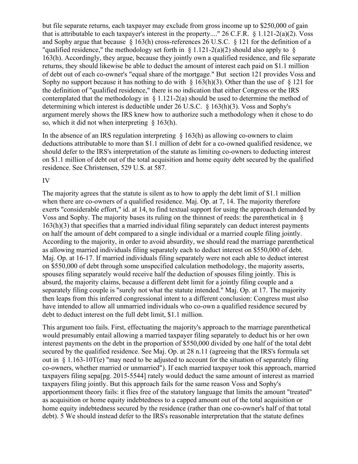but file separate returns, each taxpayer may exclude from gross income up to \$250,000 of gain that is attributable to each taxpayer's interest in the property...." 26 C.F.R. § 1.121-2(a)(2). Voss and Sophy argue that because § 163(h) cross-references 26 U.S.C. § 121 for the definition of a "qualified residence," the methodology set forth in  $\S$  1.121-2(a)(2) should also apply to  $\S$ 163(h). Accordingly, they argue, because they jointly own a qualified residence, and file separate returns, they should likewise be able to deduct the amount of interest each paid on \$1.1 million of debt out of each co-owner's "equal share of the mortgage." But section 121 provides Voss and Sophy no support because it has nothing to do with  $\S$  163(h)(3). Other than the use of  $\S$  121 for the definition of "qualified residence," there is no indication that either Congress or the IRS contemplated that the methodology in  $\S 1.121-2(a)$  should be used to determine the method of determining which interest is deductible under 26 U.S.C. § 163(h)(3). Voss and Sophy's argument merely shows the IRS knew how to authorize such a methodology when it chose to do so, which it did not when interpreting § 163(h).

In the absence of an IRS regulation interpreting  $\S$  163(h) as allowing co-owners to claim deductions attributable to more than \$1.1 million of debt for a co-owned qualified residence, we should defer to the IRS's interpretation of the statute as limiting co-owners to deducting interest on \$1.1 million of debt out of the total acquisition and home equity debt secured by the qualified residence. See Christensen, 529 U.S. at 587.

### IV

The majority agrees that the statute is silent as to how to apply the debt limit of \$1.1 million when there are co-owners of a qualified residence. Maj. Op. at 7, 14. The majority therefore exerts "considerable effort," id. at 14, to find textual support for using the approach demanded by Voss and Sophy. The majority bases its ruling on the thinnest of reeds: the parenthetical in § 163(h)(3) that specifies that a married individual filing separately can deduct interest payments on half the amount of debt compared to a single individual or a married couple filing jointly. According to the majority, in order to avoid absurdity, we should read the marriage parenthetical as allowing married individuals filing separately each to deduct interest on \$550,000 of debt. Maj. Op. at 16-17. If married individuals filing separately were not each able to deduct interest on \$550,000 of debt through some unspecified calculation methodology, the majority asserts, spouses filing separately would receive half the deduction of spouses filing jointly. This is absurd, the majority claims, because a different debt limit for a jointly filing couple and a separately filing couple is "surely not what the statute intended." Maj. Op. at 17. The majority then leaps from this inferred congressional intent to a different conclusion: Congress must also have intended to allow all unmarried individuals who co-own a qualified residence secured by debt to deduct interest on the full debt limit, \$1.1 million.

This argument too fails. First, effectuating the majority's approach to the marriage parenthetical would presumably entail allowing a married taxpayer filing separately to deduct his or her own interest payments on the debt in the proportion of \$550,000 divided by one half of the total debt secured by the qualified residence. See Maj. Op. at 28 n.11 (agreeing that the IRS's formula set out in  $\S 1.163-10T(e)$  "may need to be adjusted to account for the situation of separately filing co-owners, whether married or unmarried"). If each married taxpayer took this approach, married taxpayers filing sepa[pg. 2015-5544] rately would deduct the same amount of interest as married taxpayers filing jointly. But this approach fails for the same reason Voss and Sophy's apportionment theory fails: it flies free of the statutory language that limits the amount "treated" as acquisition or home equity indebtedness to a capped amount out of the total acquisition or home equity indebtedness secured by the residence (rather than one co-owner's half of that total debt). 5 We should instead defer to the IRS's reasonable interpretation that the statute defines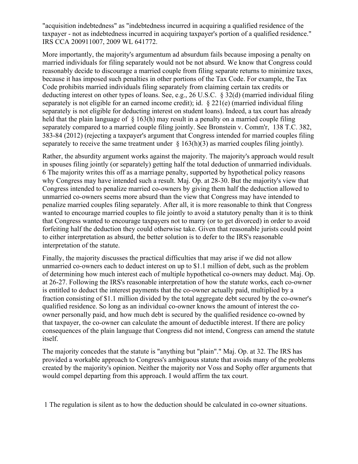"acquisition indebtedness" as "indebtedness incurred in acquiring a qualified residence of the taxpayer - not as indebtedness incurred in acquiring taxpayer's portion of a qualified residence." IRS CCA 200911007, 2009 WL 641772.

More importantly, the majority's argumentum ad absurdum fails because imposing a penalty on married individuals for filing separately would not be not absurd. We know that Congress could reasonably decide to discourage a married couple from filing separate returns to minimize taxes, because it has imposed such penalties in other portions of the Tax Code. For example, the Tax Code prohibits married individuals filing separately from claiming certain tax credits or deducting interest on other types of loans. See, e.g., 26 U.S.C. § 32(d) (married individual filing separately is not eligible for an earned income credit); id. § 221(e) (married individual filing separately is not eligible for deducting interest on student loans). Indeed, a tax court has already held that the plain language of  $\S$  163(h) may result in a penalty on a married couple filing separately compared to a married couple filing jointly. See Bronstein v. Comm'r, 138 T.C. 382, 383-84 (2012) (rejecting a taxpayer's argument that Congress intended for married couples filing separately to receive the same treatment under  $\S$  163(h)(3) as married couples filing jointly).

Rather, the absurdity argument works against the majority. The majority's approach would result in spouses filing jointly (or separately) getting half the total deduction of unmarried individuals. 6 The majority writes this off as a marriage penalty, supported by hypothetical policy reasons why Congress may have intended such a result. Maj. Op. at 28-30. But the majority's view that Congress intended to penalize married co-owners by giving them half the deduction allowed to unmarried co-owners seems more absurd than the view that Congress may have intended to penalize married couples filing separately. After all, it is more reasonable to think that Congress wanted to encourage married couples to file jointly to avoid a statutory penalty than it is to think that Congress wanted to encourage taxpayers not to marry (or to get divorced) in order to avoid forfeiting half the deduction they could otherwise take. Given that reasonable jurists could point to either interpretation as absurd, the better solution is to defer to the IRS's reasonable interpretation of the statute.

Finally, the majority discusses the practical difficulties that may arise if we did not allow unmarried co-owners each to deduct interest on up to \$1.1 million of debt, such as the problem of determining how much interest each of multiple hypothetical co-owners may deduct. Maj. Op. at 26-27. Following the IRS's reasonable interpretation of how the statute works, each co-owner is entitled to deduct the interest payments that the co-owner actually paid, multiplied by a fraction consisting of \$1.1 million divided by the total aggregate debt secured by the co-owner's qualified residence. So long as an individual co-owner knows the amount of interest the coowner personally paid, and how much debt is secured by the qualified residence co-owned by that taxpayer, the co-owner can calculate the amount of deductible interest. If there are policy consequences of the plain language that Congress did not intend, Congress can amend the statute itself.

The majority concedes that the statute is "anything but "plain"." Maj. Op. at 32. The IRS has provided a workable approach to Congress's ambiguous statute that avoids many of the problems created by the majority's opinion. Neither the majority nor Voss and Sophy offer arguments that would compel departing from this approach. I would affirm the tax court.

1 The regulation is silent as to how the deduction should be calculated in co-owner situations.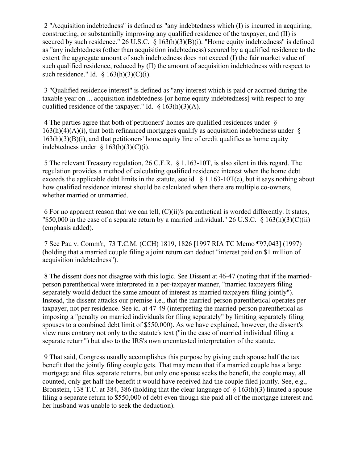2 "Acquisition indebtedness" is defined as "any indebtedness which (I) is incurred in acquiring, constructing, or substantially improving any qualified residence of the taxpayer, and (II) is secured by such residence."  $26$  U.S.C. §  $163(h)(3)(B)(i)$ . "Home equity indebtedness" is defined as "any indebtedness (other than acquisition indebtedness) secured by a qualified residence to the extent the aggregate amount of such indebtedness does not exceed (I) the fair market value of such qualified residence, reduced by (II) the amount of acquisition indebtedness with respect to such residence." Id.  $\S$  163(h)(3)(C)(i).

3 "Qualified residence interest" is defined as "any interest which is paid or accrued during the taxable year on ... acquisition indebtedness [or home equity indebtedness] with respect to any qualified residence of the taxpayer." Id.  $\S$  163(h)(3)(A).

4 The parties agree that both of petitioners' homes are qualified residences under §  $163(h)(4)(A)(i)$ , that both refinanced mortgages qualify as acquisition indebtedness under §  $163(h)(3)(B)(i)$ , and that petitioners' home equity line of credit qualifies as home equity indebtedness under  $\S$  163(h)(3)(C)(i).

5 The relevant Treasury regulation, 26 C.F.R. § 1.163-10T, is also silent in this regard. The regulation provides a method of calculating qualified residence interest when the home debt exceeds the applicable debt limits in the statute, see id. § 1.163-10T(e), but it says nothing about how qualified residence interest should be calculated when there are multiple co-owners, whether married or unmarried.

6 For no apparent reason that we can tell, (C)(ii)'s parenthetical is worded differently. It states, "\$50,000 in the case of a separate return by a married individual." 26 U.S.C. § 163(h)(3)(C)(ii) (emphasis added).

7 See Pau v. Comm'r, 73 T.C.M. (CCH) 1819, 1826 [1997 RIA TC Memo ¶97,043] (1997) (holding that a married couple filing a joint return can deduct "interest paid on \$1 million of acquisition indebtedness").

8 The dissent does not disagree with this logic. See Dissent at 46-47 (noting that if the marriedperson parenthetical were interpreted in a per-taxpayer manner, "married taxpayers filing separately would deduct the same amount of interest as married taxpayers filing jointly"). Instead, the dissent attacks our premise-i.e., that the married-person parenthetical operates per taxpayer, not per residence. See id. at 47-49 (interpreting the married-person parenthetical as imposing a "penalty on married individuals for filing separately" by limiting separately filing spouses to a combined debt limit of \$550,000). As we have explained, however, the dissent's view runs contrary not only to the statute's text ("in the case of married individual filing a separate return") but also to the IRS's own uncontested interpretation of the statute.

9 That said, Congress usually accomplishes this purpose by giving each spouse half the tax benefit that the jointly filing couple gets. That may mean that if a married couple has a large mortgage and files separate returns, but only one spouse seeks the benefit, the couple may, all counted, only get half the benefit it would have received had the couple filed jointly. See, e.g., Bronstein, 138 T.C. at 384, 386 (holding that the clear language of § 163(h)(3) limited a spouse filing a separate return to \$550,000 of debt even though she paid all of the mortgage interest and her husband was unable to seek the deduction).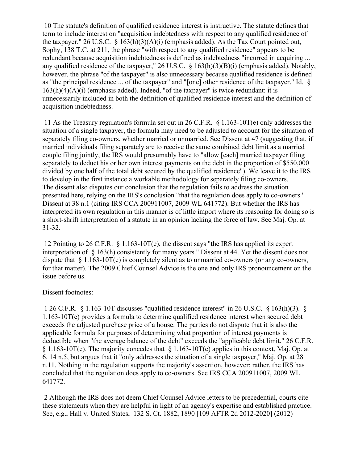10 The statute's definition of qualified residence interest is instructive. The statute defines that term to include interest on "acquisition indebtedness with respect to any qualified residence of the taxpayer." 26 U.S.C.  $\frac{163(h)(3)(A)(i)}{2}$  (emphasis added). As the Tax Court pointed out, Sophy, 138 T.C. at 211, the phrase "with respect to any qualified residence" appears to be redundant because acquisition indebtedness is defined as indebtedness "incurred in acquiring ... any qualified residence of the taxpayer," 26 U.S.C. § 163(h)(3)(B)(i) (emphasis added). Notably, however, the phrase "of the taxpayer" is also unnecessary because qualified residence is defined as "the principal residence ... of the taxpayer" and "[one] other residence of the taxpayer." Id. §  $163(h)(4)(A)(i)$  (emphasis added). Indeed, "of the taxpayer" is twice redundant: it is unnecessarily included in both the definition of qualified residence interest and the definition of acquisition indebtedness.

11 As the Treasury regulation's formula set out in 26 C.F.R. § 1.163-10T(e) only addresses the situation of a single taxpayer, the formula may need to be adjusted to account for the situation of separately filing co-owners, whether married or unmarried. See Dissent at 47 (suggesting that, if married individuals filing separately are to receive the same combined debt limit as a married couple filing jointly, the IRS would presumably have to "allow [each] married taxpayer filing separately to deduct his or her own interest payments on the debt in the proportion of \$550,000 divided by one half of the total debt secured by the qualified residence"). We leave it to the IRS to develop in the first instance a workable methodology for separately filing co-owners. The dissent also disputes our conclusion that the regulation fails to address the situation presented here, relying on the IRS's conclusion "that the regulation does apply to co-owners." Dissent at 38 n.1 (citing IRS CCA 200911007, 2009 WL 641772). But whether the IRS has interpreted its own regulation in this manner is of little import where its reasoning for doing so is a short-shrift interpretation of a statute in an opinion lacking the force of law. See Maj. Op. at 31-32.

12 Pointing to 26 C.F.R. § 1.163-10T(e), the dissent says "the IRS has applied its expert interpretation of § 163(h) consistently for many years." Dissent at 44. Yet the dissent does not dispute that § 1.163-10T(e) is completely silent as to unmarried co-owners (or any co-owners, for that matter). The 2009 Chief Counsel Advice is the one and only IRS pronouncement on the issue before us.

### Dissent footnotes:

1 26 C.F.R. § 1.163-10T discusses "qualified residence interest" in 26 U.S.C. § 163(h)(3). § 1.163-10T(e) provides a formula to determine qualified residence interest when secured debt exceeds the adjusted purchase price of a house. The parties do not dispute that it is also the applicable formula for purposes of determining what proportion of interest payments is deductible when "the average balance of the debt" exceeds the "applicable debt limit." 26 C.F.R. § 1.163-10T(e). The majority concedes that § 1.163-10T(e) applies in this context, Maj. Op. at 6, 14 n.5, but argues that it "only addresses the situation of a single taxpayer," Maj. Op. at 28 n.11. Nothing in the regulation supports the majority's assertion, however; rather, the IRS has concluded that the regulation does apply to co-owners. See IRS CCA 200911007, 2009 WL 641772.

2 Although the IRS does not deem Chief Counsel Advice letters to be precedential, courts cite these statements when they are helpful in light of an agency's expertise and established practice. See, e.g., Hall v. United States, 132 S. Ct. 1882, 1890 [109 AFTR 2d 2012-2020] (2012)